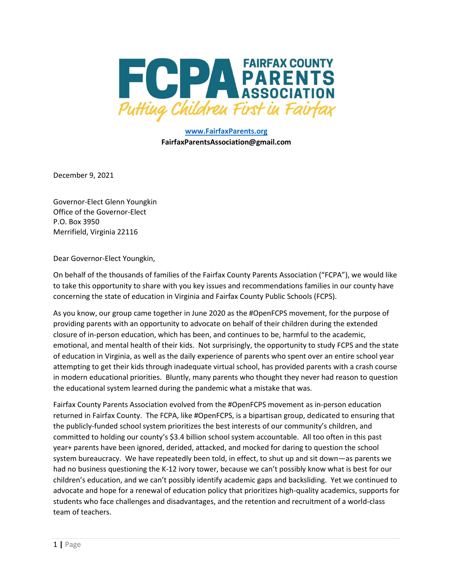

**www.FairfaxParents.org FairfaxParentsAssociation@gmail.com**

December 9, 2021

Governor-Elect Glenn Youngkin Office of the Governor-Elect P.O. Box 3950 Merrifield, Virginia 22116

Dear Governor-Elect Youngkin,

On behalf of the thousands of families of the Fairfax County Parents Association ("FCPA"), we would like to take this opportunity to share with you key issues and recommendations families in our county have concerning the state of education in Virginia and Fairfax County Public Schools (FCPS).

As you know, our group came together in June 2020 as the #OpenFCPS movement, for the purpose of providing parents with an opportunity to advocate on behalf of their children during the extended closure of in-person education, which has been, and continues to be, harmful to the academic, emotional, and mental health of their kids. Not surprisingly, the opportunity to study FCPS and the state of education in Virginia, as well as the daily experience of parents who spent over an entire school year attempting to get their kids through inadequate virtual school, has provided parents with a crash course in modern educational priorities. Bluntly, many parents who thought they never had reason to question the educational system learned during the pandemic what a mistake that was.

Fairfax County Parents Association evolved from the #OpenFCPS movement as in-person education returned in Fairfax County. The FCPA, like #OpenFCPS, is a bipartisan group, dedicated to ensuring that the publicly-funded school system prioritizes the best interests of our community's children, and committed to holding our county's \$3.4 billion school system accountable. All too often in this past year+ parents have been ignored, derided, attacked, and mocked for daring to question the school system bureaucracy. We have repeatedly been told, in effect, to shut up and sit down—as parents we had no business questioning the K-12 ivory tower, because we can't possibly know what is best for our children's education, and we can't possibly identify academic gaps and backsliding. Yet we continued to advocate and hope for a renewal of education policy that prioritizes high-quality academics, supports for students who face challenges and disadvantages, and the retention and recruitment of a world-class team of teachers.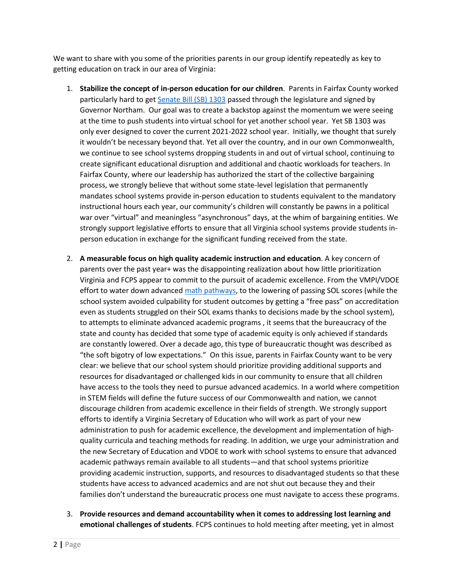We want to share with you some of the priorities parents in our group identify repeatedly as key to getting education on track in our area of Virginia:

- 1. **Stabilize the concept of in-person education for our children**. Parents in Fairfax County worked particularly hard to get [Senate Bill \(SB\) 1303](https://lis.virginia.gov/cgi-bin/legp604.exe?212+sum+SB1303) passed through the legislature and signed by Governor Northam. Our goal was to create a backstop against the momentum we were seeing at the time to push students into virtual school for yet another school year. Yet SB 1303 was only ever designed to cover the current 2021-2022 school year. Initially, we thought that surely it wouldn't be necessary beyond that. Yet all over the country, and in our own Commonwealth, we continue to see school systems dropping students in and out of virtual school, continuing to create significant educational disruption and additional and chaotic workloads for teachers. In Fairfax County, where our leadership has authorized the start of the collective bargaining process, we strongly believe that without some state-level legislation that permanently mandates school systems provide in-person education to students equivalent to the mandatory instructional hours each year, our community's children will constantly be pawns in a political war over "virtual" and meaningless "asynchronous" days, at the whim of bargaining entities. We strongly support legislative efforts to ensure that all Virginia school systems provide students inperson education in exchange for the significant funding received from the state.
- 2. **A measurable focus on high quality academic instruction and education**. A key concern of parents over the past year+ was the disappointing realization about how little prioritization Virginia and FCPS appear to commit to the pursuit of academic excellence. From the VMPI/VDOE effort to water down advance[d math pathways,](https://www.doe.virginia.gov/instruction/mathematics/vmpi/index.shtml) to the lowering of passing SOL scores (while the school system avoided culpability for student outcomes by getting a "free pass" on accreditation even as students struggled on their SOL exams thanks to decisions made by the school system), to attempts to eliminate advanced academic programs , it seems that the bureaucracy of the state and county has decided that some type of academic equity is only achieved if standards are constantly lowered. Over a decade ago, this type of bureaucratic thought was described as "the soft bigotry of low expectations." On this issue, parents in Fairfax County want to be very clear: we believe that our school system should prioritize providing additional supports and resources for disadvantaged or challenged kids in our community to ensure that all children have access to the tools they need to pursue advanced academics. In a world where competition in STEM fields will define the future success of our Commonwealth and nation, we cannot discourage children from academic excellence in their fields of strength. We strongly support efforts to identify a Virginia Secretary of Education who will work as part of your new administration to push for academic excellence, the development and implementation of highquality curricula and teaching methods for reading. In addition, we urge your administration and the new Secretary of Education and VDOE to work with school systems to ensure that advanced academic pathways remain available to all students—and that school systems prioritize providing academic instruction, supports, and resources to disadvantaged students so that these students have access to advanced academics and are not shut out because they and their families don't understand the bureaucratic process one must navigate to access these programs.
- 3. **Provide resources and demand accountability when it comes to addressing lost learning and emotional challenges of students**. FCPS continues to hold meeting after meeting, yet in almost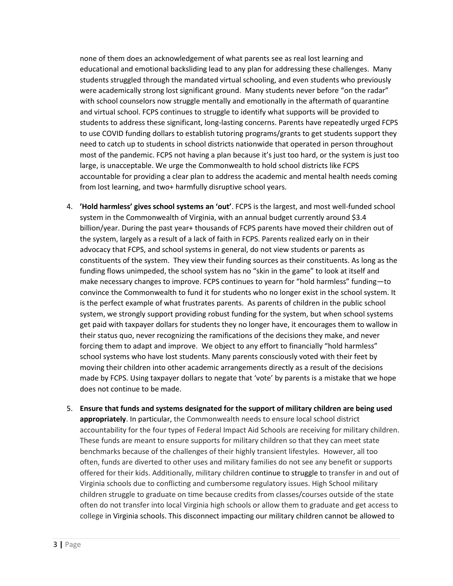none of them does an acknowledgement of what parents see as real lost learning and educational and emotional backsliding lead to any plan for addressing these challenges. Many students struggled through the mandated virtual schooling, and even students who previously were academically strong lost significant ground. Many students never before "on the radar" with school counselors now struggle mentally and emotionally in the aftermath of quarantine and virtual school. FCPS continues to struggle to identify what supports will be provided to students to address these significant, long-lasting concerns. Parents have repeatedly urged FCPS to use COVID funding dollars to establish tutoring programs/grants to get students support they need to catch up to students in school districts nationwide that operated in person throughout most of the pandemic. FCPS not having a plan because it's just too hard, or the system is just too large, is unacceptable. We urge the Commonwealth to hold school districts like FCPS accountable for providing a clear plan to address the academic and mental health needs coming from lost learning, and two+ harmfully disruptive school years.

- 4. **'Hold harmless' gives school systems an 'out'**. FCPS is the largest, and most well-funded school system in the Commonwealth of Virginia, with an annual budget currently around \$3.4 billion/year. During the past year+ thousands of FCPS parents have moved their children out of the system, largely as a result of a lack of faith in FCPS. Parents realized early on in their advocacy that FCPS, and school systems in general, do not view students or parents as constituents of the system. They view their funding sources as their constituents. As long as the funding flows unimpeded, the school system has no "skin in the game" to look at itself and make necessary changes to improve. FCPS continues to yearn for "hold harmless" funding—to convince the Commonwealth to fund it for students who no longer exist in the school system. It is the perfect example of what frustrates parents. As parents of children in the public school system, we strongly support providing robust funding for the system, but when school systems get paid with taxpayer dollars for students they no longer have, it encourages them to wallow in their status quo, never recognizing the ramifications of the decisions they make, and never forcing them to adapt and improve. We object to any effort to financially "hold harmless" school systems who have lost students. Many parents consciously voted with their feet by moving their children into other academic arrangements directly as a result of the decisions made by FCPS. Using taxpayer dollars to negate that 'vote' by parents is a mistake that we hope does not continue to be made.
- 5. **Ensure that funds and systems designated for the support of military children are being used appropriately**. In particular, the Commonwealth needs to ensure local school district accountability for the four types of Federal Impact Aid Schools are receiving for military children. These funds are meant to ensure supports for military children so that they can meet state benchmarks because of the challenges of their highly transient lifestyles. However, all too often, funds are diverted to other uses and military families do not see any benefit or supports offered for their kids. Additionally, military children continue to struggle to transfer in and out of Virginia schools due to conflicting and cumbersome regulatory issues. High School military children struggle to graduate on time because credits from classes/courses outside of the state often do not transfer into local Virginia high schools or allow them to graduate and get access to college in Virginia schools. This disconnect impacting our military children cannot be allowed to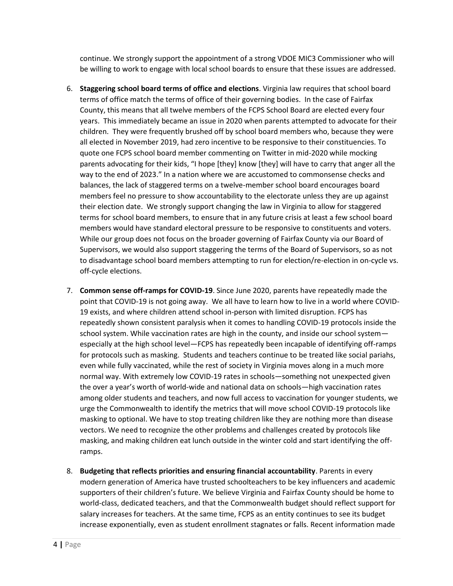continue. We strongly support the appointment of a strong VDOE MIC3 Commissioner who will be willing to work to engage with local school boards to ensure that these issues are addressed.

- 6. **Staggering school board terms of office and elections**. Virginia law requires that school board terms of office match the terms of office of their governing bodies. In the case of Fairfax County, this means that all twelve members of the FCPS School Board are elected every four years. This immediately became an issue in 2020 when parents attempted to advocate for their children. They were frequently brushed off by school board members who, because they were all elected in November 2019, had zero incentive to be responsive to their constituencies. To quote one FCPS school board member commenting on Twitter in mid-2020 while mocking parents advocating for their kids, "I hope [they] know [they] will have to carry that anger all the way to the end of 2023." In a nation where we are accustomed to commonsense checks and balances, the lack of staggered terms on a twelve-member school board encourages board members feel no pressure to show accountability to the electorate unless they are up against their election date. We strongly support changing the law in Virginia to allow for staggered terms for school board members, to ensure that in any future crisis at least a few school board members would have standard electoral pressure to be responsive to constituents and voters. While our group does not focus on the broader governing of Fairfax County via our Board of Supervisors, we would also support staggering the terms of the Board of Supervisors, so as not to disadvantage school board members attempting to run for election/re-election in on-cycle vs. off-cycle elections.
- 7. **Common sense off-ramps for COVID-19**. Since June 2020, parents have repeatedly made the point that COVID-19 is not going away. We all have to learn how to live in a world where COVID-19 exists, and where children attend school in-person with limited disruption. FCPS has repeatedly shown consistent paralysis when it comes to handling COVID-19 protocols inside the school system. While vaccination rates are high in the county, and inside our school system especially at the high school level—FCPS has repeatedly been incapable of identifying off-ramps for protocols such as masking. Students and teachers continue to be treated like social pariahs, even while fully vaccinated, while the rest of society in Virginia moves along in a much more normal way. With extremely low COVID-19 rates in schools—something not unexpected given the over a year's worth of world-wide and national data on schools—high vaccination rates among older students and teachers, and now full access to vaccination for younger students, we urge the Commonwealth to identify the metrics that will move school COVID-19 protocols like masking to optional. We have to stop treating children like they are nothing more than disease vectors. We need to recognize the other problems and challenges created by protocols like masking, and making children eat lunch outside in the winter cold and start identifying the offramps.
- 8. **Budgeting that reflects priorities and ensuring financial accountability**. Parents in every modern generation of America have trusted schoolteachers to be key influencers and academic supporters of their children's future. We believe Virginia and Fairfax County should be home to world-class, dedicated teachers, and that the Commonwealth budget should reflect support for salary increases for teachers. At the same time, FCPS as an entity continues to see its budget increase exponentially, even as student enrollment stagnates or falls. Recent information made